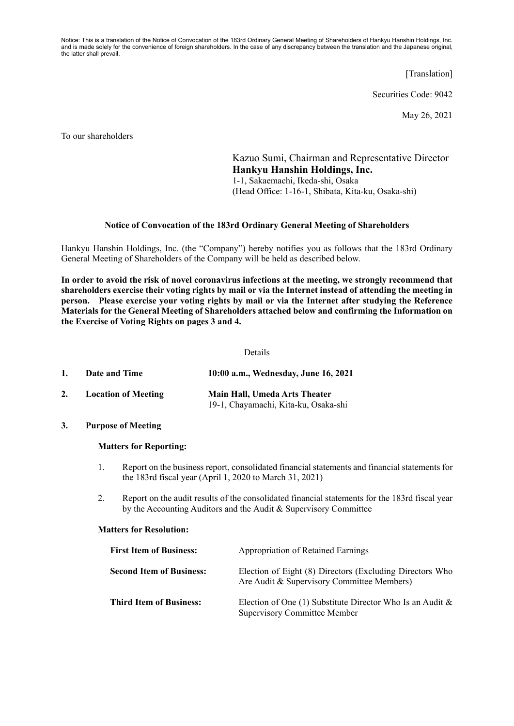Notice: This is a translation of the Notice of Convocation of the 183rd Ordinary General Meeting of Shareholders of Hankyu Hanshin Holdings, Inc. and is made solely for the convenience of foreign shareholders. In the case of any discrepancy between the translation and the Japanese original, the latter shall prevail.

[Translation]

Securities Code: 9042

May 26, 2021

To our shareholders

Kazuo Sumi, Chairman and Representative Director **Hankyu Hanshin Holdings, Inc.**  1-1, Sakaemachi, Ikeda-shi, Osaka (Head Office: 1-16-1, Shibata, Kita-ku, Osaka-shi)

### **Notice of Convocation of the 183rd Ordinary General Meeting of Shareholders**

Hankyu Hanshin Holdings, Inc. (the "Company") hereby notifies you as follows that the 183rd Ordinary General Meeting of Shareholders of the Company will be held as described below.

**In order to avoid the risk of novel coronavirus infections at the meeting, we strongly recommend that shareholders exercise their voting rights by mail or via the Internet instead of attending the meeting in person. Please exercise your voting rights by mail or via the Internet after studying the Reference Materials for the General Meeting of Shareholders attached below and confirming the Information on the Exercise of Voting Rights on pages 3 and 4.** 

### Details

| 1. | Date and Time              | 10:00 a.m., Wednesday, June 16, 2021                                  |
|----|----------------------------|-----------------------------------------------------------------------|
| 2. | <b>Location of Meeting</b> | Main Hall, Umeda Arts Theater<br>19-1, Chayamachi, Kita-ku, Osaka-shi |

**3. Purpose of Meeting** 

## **Matters for Reporting:**

- 1. Report on the business report, consolidated financial statements and financial statements for the 183rd fiscal year (April 1, 2020 to March 31, 2021)
- 2. Report on the audit results of the consolidated financial statements for the 183rd fiscal year by the Accounting Auditors and the Audit & Supervisory Committee

#### **Matters for Resolution:**

| <b>First Item of Business:</b>  | <b>Appropriation of Retained Earnings</b>                                                              |
|---------------------------------|--------------------------------------------------------------------------------------------------------|
| <b>Second Item of Business:</b> | Election of Eight (8) Directors (Excluding Directors Who<br>Are Audit & Supervisory Committee Members) |
| <b>Third Item of Business:</b>  | Election of One (1) Substitute Director Who Is an Audit $\&$<br><b>Supervisory Committee Member</b>    |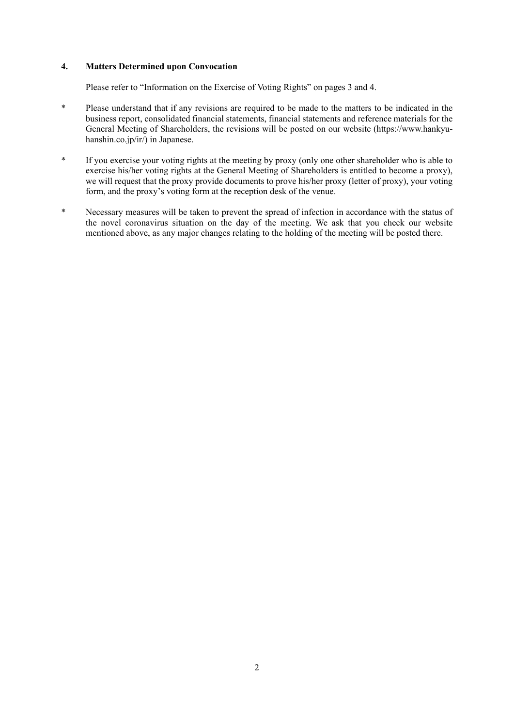# **4. Matters Determined upon Convocation**

Please refer to "Information on the Exercise of Voting Rights" on pages 3 and 4.

- \* Please understand that if any revisions are required to be made to the matters to be indicated in the business report, consolidated financial statements, financial statements and reference materials for the General Meeting of Shareholders, the revisions will be posted on our website (https://www.hankyuhanshin.co.jp/ir/) in Japanese.
- \* If you exercise your voting rights at the meeting by proxy (only one other shareholder who is able to exercise his/her voting rights at the General Meeting of Shareholders is entitled to become a proxy), we will request that the proxy provide documents to prove his/her proxy (letter of proxy), your voting form, and the proxy's voting form at the reception desk of the venue.
- \* Necessary measures will be taken to prevent the spread of infection in accordance with the status of the novel coronavirus situation on the day of the meeting. We ask that you check our website mentioned above, as any major changes relating to the holding of the meeting will be posted there.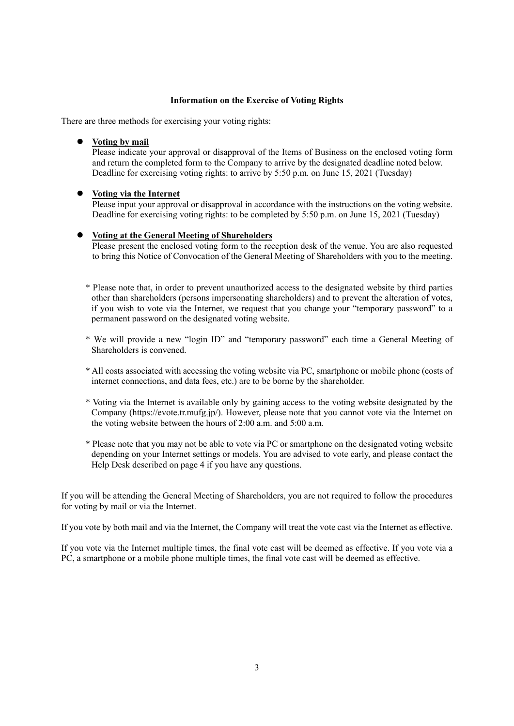## **Information on the Exercise of Voting Rights**

There are three methods for exercising your voting rights:

### **Voting by mail**

Please indicate your approval or disapproval of the Items of Business on the enclosed voting form and return the completed form to the Company to arrive by the designated deadline noted below. Deadline for exercising voting rights: to arrive by 5:50 p.m. on June 15, 2021 (Tuesday)

### **Voting via the Internet**

Please input your approval or disapproval in accordance with the instructions on the voting website. Deadline for exercising voting rights: to be completed by 5:50 p.m. on June 15, 2021 (Tuesday)

# **Voting at the General Meeting of Shareholders**

Please present the enclosed voting form to the reception desk of the venue. You are also requested to bring this Notice of Convocation of the General Meeting of Shareholders with you to the meeting.

- \* Please note that, in order to prevent unauthorized access to the designated website by third parties other than shareholders (persons impersonating shareholders) and to prevent the alteration of votes, if you wish to vote via the Internet, we request that you change your "temporary password" to a permanent password on the designated voting website.
- \* We will provide a new "login ID" and "temporary password" each time a General Meeting of Shareholders is convened.
- \* All costs associated with accessing the voting website via PC, smartphone or mobile phone (costs of internet connections, and data fees, etc.) are to be borne by the shareholder.
- \* Voting via the Internet is available only by gaining access to the voting website designated by the Company (https://evote.tr.mufg.jp/). However, please note that you cannot vote via the Internet on the voting website between the hours of 2:00 a.m. and 5:00 a.m.
- \* Please note that you may not be able to vote via PC or smartphone on the designated voting website depending on your Internet settings or models. You are advised to vote early, and please contact the Help Desk described on page 4 if you have any questions.

If you will be attending the General Meeting of Shareholders, you are not required to follow the procedures for voting by mail or via the Internet.

If you vote by both mail and via the Internet, the Company will treat the vote cast via the Internet as effective.

If you vote via the Internet multiple times, the final vote cast will be deemed as effective. If you vote via a PC, a smartphone or a mobile phone multiple times, the final vote cast will be deemed as effective.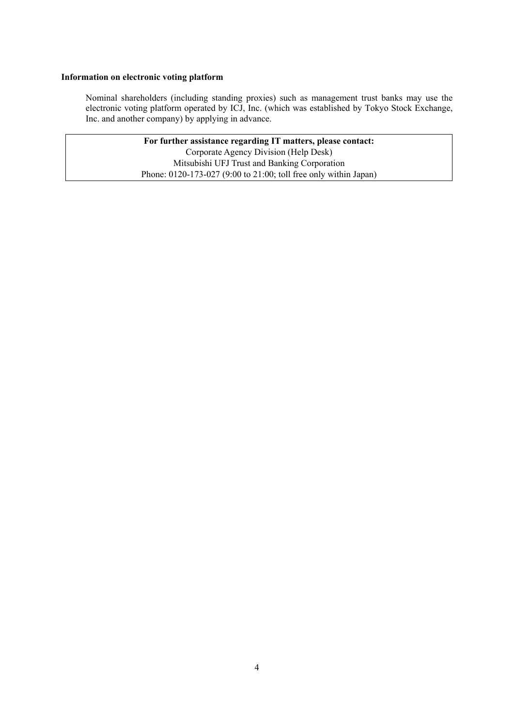## **Information on electronic voting platform**

 Nominal shareholders (including standing proxies) such as management trust banks may use the electronic voting platform operated by ICJ, Inc. (which was established by Tokyo Stock Exchange, Inc. and another company) by applying in advance.

> **For further assistance regarding IT matters, please contact:**  Corporate Agency Division (Help Desk) Mitsubishi UFJ Trust and Banking Corporation Phone: 0120-173-027 (9:00 to 21:00; toll free only within Japan)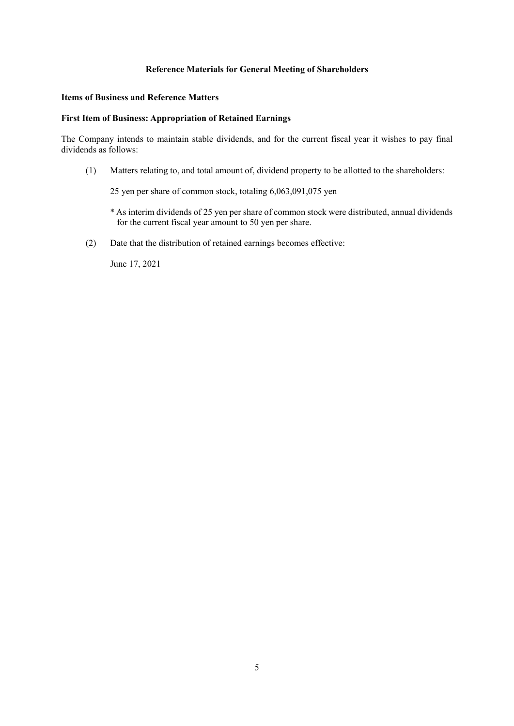# **Reference Materials for General Meeting of Shareholders**

### **Items of Business and Reference Matters**

## **First Item of Business: Appropriation of Retained Earnings**

The Company intends to maintain stable dividends, and for the current fiscal year it wishes to pay final dividends as follows:

(1) Matters relating to, and total amount of, dividend property to be allotted to the shareholders:

25 yen per share of common stock, totaling 6,063,091,075 yen

- \* As interim dividends of 25 yen per share of common stock were distributed, annual dividends for the current fiscal year amount to 50 yen per share.
- (2) Date that the distribution of retained earnings becomes effective:

June 17, 2021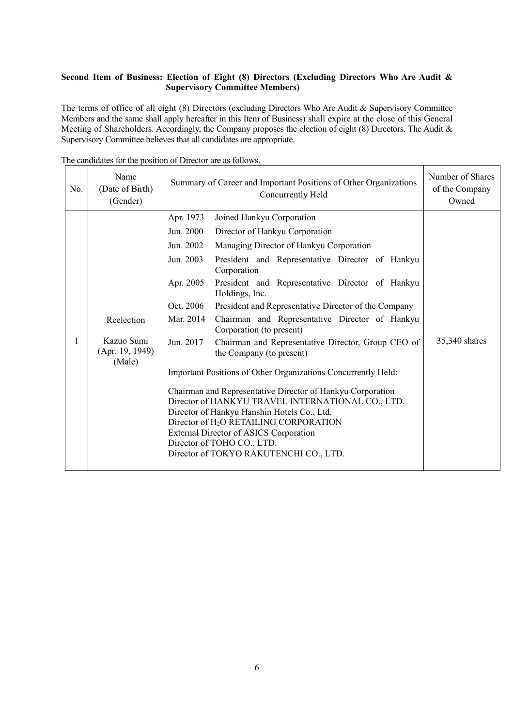# **Second Item of Business: Election of Eight (8) Directors (Excluding Directors Who Are Audit & Supervisory Committee Members)**

The terms of office of all eight (8) Directors (excluding Directors Who Are Audit & Supervisory Committee Members and the same shall apply hereafter in this Item of Business) shall expire at the close of this General Meeting of Shareholders. Accordingly, the Company proposes the election of eight (8) Directors. The Audit & Supervisory Committee believes that all candidates are appropriate.

| No. | Name<br>(Date of Birth)<br>(Gender)     | Summary of Career and Important Positions of Other Organizations<br>Concurrently Held |                                                                                                                                                                                                                                                                                                          | Number of Shares<br>of the Company<br>Owned |
|-----|-----------------------------------------|---------------------------------------------------------------------------------------|----------------------------------------------------------------------------------------------------------------------------------------------------------------------------------------------------------------------------------------------------------------------------------------------------------|---------------------------------------------|
|     |                                         | Apr. 1973                                                                             | Joined Hankyu Corporation                                                                                                                                                                                                                                                                                |                                             |
|     |                                         | Jun. 2000                                                                             | Director of Hankyu Corporation                                                                                                                                                                                                                                                                           |                                             |
|     |                                         | Jun. 2002                                                                             | Managing Director of Hankyu Corporation                                                                                                                                                                                                                                                                  |                                             |
|     |                                         | Jun. 2003<br>Corporation                                                              | President and Representative Director of Hankyu                                                                                                                                                                                                                                                          |                                             |
|     |                                         | Apr. 2005<br>Holdings, Inc.                                                           | President and Representative Director of Hankyu                                                                                                                                                                                                                                                          |                                             |
|     |                                         | Oct. 2006                                                                             | President and Representative Director of the Company                                                                                                                                                                                                                                                     |                                             |
|     | Reelection                              | Mar. 2014<br>Corporation (to present)                                                 | Chairman and Representative Director of Hankyu                                                                                                                                                                                                                                                           |                                             |
| 1   | Kazuo Sumi<br>(Apr. 19, 1949)<br>(Male) | Jun. 2017<br>the Company (to present)                                                 | Chairman and Representative Director, Group CEO of                                                                                                                                                                                                                                                       | 35,340 shares                               |
|     |                                         |                                                                                       | Important Positions of Other Organizations Concurrently Held:                                                                                                                                                                                                                                            |                                             |
|     |                                         | Director of TOHO CO., LTD.                                                            | Chairman and Representative Director of Hankyu Corporation<br>Director of HANKYU TRAVEL INTERNATIONAL CO., LTD.<br>Director of Hankyu Hanshin Hotels Co., Ltd.<br>Director of H <sub>2</sub> O RETAILING CORPORATION<br>External Director of ASICS Corporation<br>Director of TOKYO RAKUTENCHI CO., LTD. |                                             |

The candidates for the position of Director are as follows.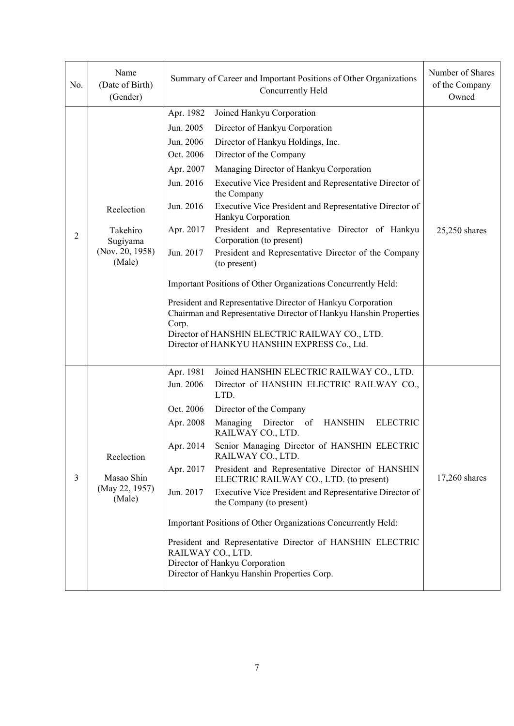| No. | Name<br>(Date of Birth)<br>(Gender)                             | Summary of Career and Important Positions of Other Organizations<br>Concurrently Held                                                                                                                                                                                                                                                                                                                                                                                                                                                                                                                                                                                                                                                                                                                                                                                                                                         | Number of Shares<br>of the Company<br>Owned |
|-----|-----------------------------------------------------------------|-------------------------------------------------------------------------------------------------------------------------------------------------------------------------------------------------------------------------------------------------------------------------------------------------------------------------------------------------------------------------------------------------------------------------------------------------------------------------------------------------------------------------------------------------------------------------------------------------------------------------------------------------------------------------------------------------------------------------------------------------------------------------------------------------------------------------------------------------------------------------------------------------------------------------------|---------------------------------------------|
| 2   | Reelection<br>Takehiro<br>Sugiyama<br>(Nov. 20, 1958)<br>(Male) | Apr. 1982<br>Joined Hankyu Corporation<br>Jun. 2005<br>Director of Hankyu Corporation<br>Jun. 2006<br>Director of Hankyu Holdings, Inc.<br>Oct. 2006<br>Director of the Company<br>Managing Director of Hankyu Corporation<br>Apr. 2007<br>Executive Vice President and Representative Director of<br>Jun. 2016<br>the Company<br>Executive Vice President and Representative Director of<br>Jun. 2016<br>Hankyu Corporation<br>President and Representative Director of Hankyu<br>Apr. 2017<br>Corporation (to present)<br>Jun. 2017<br>President and Representative Director of the Company<br>(to present)<br>Important Positions of Other Organizations Concurrently Held:<br>President and Representative Director of Hankyu Corporation<br>Chairman and Representative Director of Hankyu Hanshin Properties<br>Corp.<br>Director of HANSHIN ELECTRIC RAILWAY CO., LTD.<br>Director of HANKYU HANSHIN EXPRESS Co., Ltd. | $25,250$ shares                             |
| 3   | Reelection<br>Masao Shin<br>(May 22, 1957)<br>(Male)            | Apr. 1981<br>Joined HANSHIN ELECTRIC RAILWAY CO., LTD.<br>Jun. 2006<br>Director of HANSHIN ELECTRIC RAILWAY CO.,<br>LTD.<br>Oct. 2006<br>Director of the Company<br>Managing Director of<br><b>ELECTRIC</b><br>Apr. 2008<br><b>HANSHIN</b><br>RAILWAY CO., LTD.<br>Senior Managing Director of HANSHIN ELECTRIC<br>Apr. 2014<br>RAILWAY CO., LTD.<br>President and Representative Director of HANSHIN<br>Apr. 2017<br>ELECTRIC RAILWAY CO., LTD. (to present)<br>Jun. 2017<br>Executive Vice President and Representative Director of<br>the Company (to present)<br>Important Positions of Other Organizations Concurrently Held:<br>President and Representative Director of HANSHIN ELECTRIC<br>RAILWAY CO., LTD.<br>Director of Hankyu Corporation<br>Director of Hankyu Hanshin Properties Corp.                                                                                                                         | 17,260 shares                               |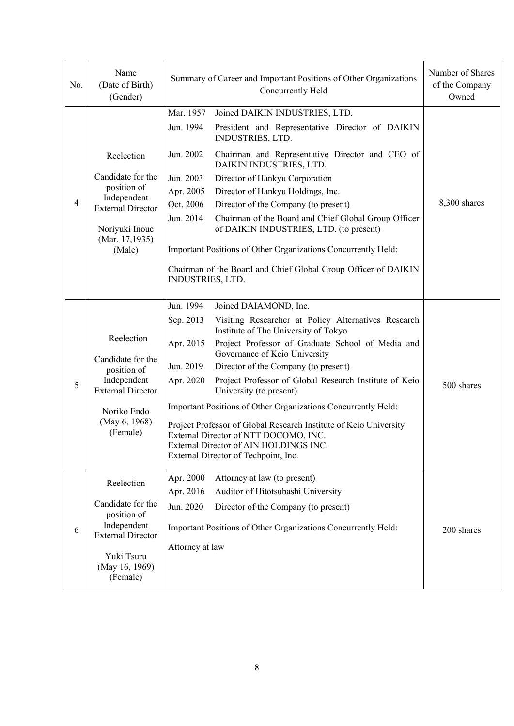| No.            | Name<br>(Date of Birth)<br>(Gender)                                                                                                   | Summary of Career and Important Positions of Other Organizations<br>Concurrently Held                                                                                                                                                                                                                                                                                                                                                                                                                                                                                                                                                                                     | Number of Shares<br>of the Company<br>Owned |
|----------------|---------------------------------------------------------------------------------------------------------------------------------------|---------------------------------------------------------------------------------------------------------------------------------------------------------------------------------------------------------------------------------------------------------------------------------------------------------------------------------------------------------------------------------------------------------------------------------------------------------------------------------------------------------------------------------------------------------------------------------------------------------------------------------------------------------------------------|---------------------------------------------|
| $\overline{4}$ | Reelection                                                                                                                            | Mar. 1957<br>Joined DAIKIN INDUSTRIES, LTD.<br>Jun. 1994<br>President and Representative Director of DAIKIN<br>INDUSTRIES, LTD.<br>Chairman and Representative Director and CEO of<br>Jun. 2002<br>DAIKIN INDUSTRIES, LTD.                                                                                                                                                                                                                                                                                                                                                                                                                                                |                                             |
|                | Candidate for the<br>position of<br>Independent<br><b>External Director</b><br>Noriyuki Inoue<br>(Mar. 17,1935)<br>(Male)             | Jun. 2003<br>Director of Hankyu Corporation<br>Apr. 2005<br>Director of Hankyu Holdings, Inc.<br>Oct. 2006<br>Director of the Company (to present)<br>Jun. 2014<br>Chairman of the Board and Chief Global Group Officer<br>of DAIKIN INDUSTRIES, LTD. (to present)<br>Important Positions of Other Organizations Concurrently Held:<br>Chairman of the Board and Chief Global Group Officer of DAIKIN<br>INDUSTRIES, LTD.                                                                                                                                                                                                                                                 | 8,300 shares                                |
| 5              | Reelection<br>Candidate for the<br>position of<br>Independent<br><b>External Director</b><br>Noriko Endo<br>(May 6, 1968)<br>(Female) | Jun. 1994<br>Joined DAIAMOND, Inc.<br>Visiting Researcher at Policy Alternatives Research<br>Sep. 2013<br>Institute of The University of Tokyo<br>Project Professor of Graduate School of Media and<br>Apr. 2015<br>Governance of Keio University<br>Jun. 2019<br>Director of the Company (to present)<br>Project Professor of Global Research Institute of Keio<br>Apr. 2020<br>University (to present)<br>Important Positions of Other Organizations Concurrently Held:<br>Project Professor of Global Research Institute of Keio University<br>External Director of NTT DOCOMO, INC.<br>External Director of AIN HOLDINGS INC.<br>External Director of Techpoint, Inc. | 500 shares                                  |
| 6              | Reelection<br>Candidate for the<br>position of<br>Independent<br><b>External Director</b><br>Yuki Tsuru<br>(May 16, 1969)<br>(Female) | Apr. 2000<br>Attorney at law (to present)<br>Apr. 2016<br>Auditor of Hitotsubashi University<br>Jun. 2020<br>Director of the Company (to present)<br>Important Positions of Other Organizations Concurrently Held:<br>Attorney at law                                                                                                                                                                                                                                                                                                                                                                                                                                     | 200 shares                                  |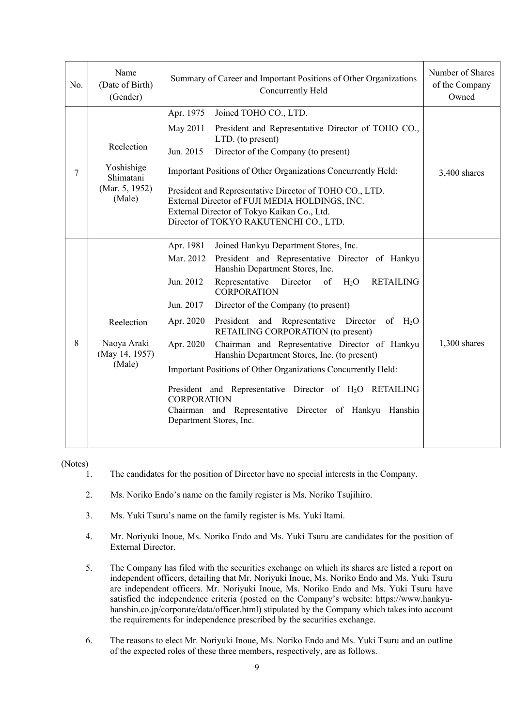| No. | Name<br>(Date of Birth)<br>(Gender)                   | Summary of Career and Important Positions of Other Organizations<br>Concurrently Held                                                                                                              | Number of Shares<br>of the Company<br>Owned |
|-----|-------------------------------------------------------|----------------------------------------------------------------------------------------------------------------------------------------------------------------------------------------------------|---------------------------------------------|
|     |                                                       | Apr. 1975<br>Joined TOHO CO., LTD.                                                                                                                                                                 |                                             |
|     |                                                       | May 2011<br>President and Representative Director of TOHO CO.,<br>LTD. (to present)                                                                                                                |                                             |
|     | Reelection                                            | Jun. 2015<br>Director of the Company (to present)                                                                                                                                                  |                                             |
| 7   | Yoshishige<br>Shimatani<br>(Mar. 5, 1952)<br>(Male)   | Important Positions of Other Organizations Concurrently Held:                                                                                                                                      | 3,400 shares                                |
|     |                                                       | President and Representative Director of TOHO CO., LTD.<br>External Director of FUJI MEDIA HOLDINGS, INC.<br>External Director of Tokyo Kaikan Co., Ltd.<br>Director of TOKYO RAKUTENCHI CO., LTD. |                                             |
|     |                                                       | Apr. 1981<br>Joined Hankyu Department Stores, Inc.                                                                                                                                                 |                                             |
| 8   | Reelection<br>Naoya Araki<br>(May 14, 1957)<br>(Male) | Mar. 2012<br>President and Representative Director of Hankyu<br>Hanshin Department Stores, Inc.                                                                                                    |                                             |
|     |                                                       | Jun. 2012<br>H <sub>2</sub> O<br>Representative<br>Director<br>of<br><b>RETAILING</b><br><b>CORPORATION</b>                                                                                        |                                             |
|     |                                                       | Jun. 2017<br>Director of the Company (to present)                                                                                                                                                  |                                             |
|     |                                                       | Apr. 2020<br>President and Representative Director of H <sub>2</sub> O<br>RETAILING CORPORATION (to present)                                                                                       |                                             |
|     |                                                       | Apr. 2020<br>Chairman and Representative Director of Hankyu<br>Hanshin Department Stores, Inc. (to present)                                                                                        | $1,300$ shares                              |
|     |                                                       | Important Positions of Other Organizations Concurrently Held:                                                                                                                                      |                                             |
|     |                                                       | President and Representative Director of H <sub>2</sub> O RETAILING<br><b>CORPORATION</b><br>Chairman and Representative Director of Hankyu Hanshin<br>Department Stores, Inc.                     |                                             |

(Notes)

- 1. The candidates for the position of Director have no special interests in the Company.
- 2. Ms. Noriko Endo's name on the family register is Ms. Noriko Tsujihiro.
- 3. Ms. Yuki Tsuru's name on the family register is Ms. Yuki Itami.
- 4. Mr. Noriyuki Inoue, Ms. Noriko Endo and Ms. Yuki Tsuru are candidates for the position of External Director.
- 5. The Company has filed with the securities exchange on which its shares are listed a report on independent officers, detailing that Mr. Noriyuki Inoue, Ms. Noriko Endo and Ms. Yuki Tsuru are independent officers. Mr. Noriyuki Inoue, Ms. Noriko Endo and Ms. Yuki Tsuru have satisfied the independence criteria (posted on the Company's website: https://www.hankyuhanshin.co.jp/corporate/data/officer.html) stipulated by the Company which takes into account the requirements for independence prescribed by the securities exchange.
- 6. The reasons to elect Mr. Noriyuki Inoue, Ms. Noriko Endo and Ms. Yuki Tsuru and an outline of the expected roles of these three members, respectively, are as follows.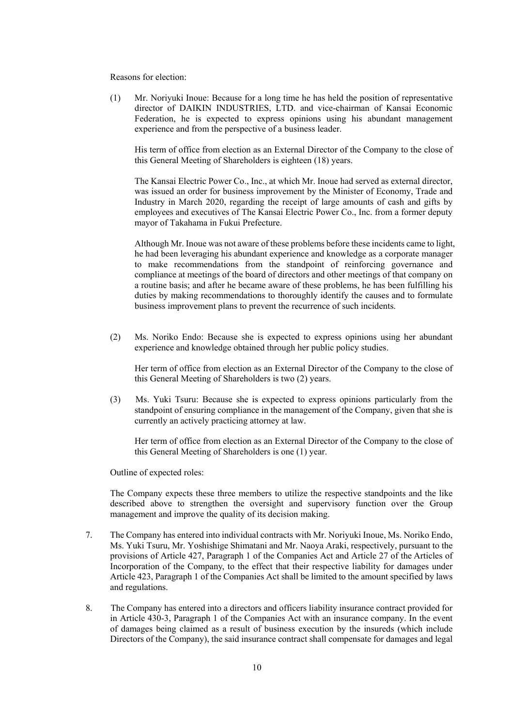Reasons for election:

(1) Mr. Noriyuki Inoue: Because for a long time he has held the position of representative director of DAIKIN INDUSTRIES, LTD. and vice-chairman of Kansai Economic Federation, he is expected to express opinions using his abundant management experience and from the perspective of a business leader.

 His term of office from election as an External Director of the Company to the close of this General Meeting of Shareholders is eighteen (18) years.

The Kansai Electric Power Co., Inc., at which Mr. Inoue had served as external director, was issued an order for business improvement by the Minister of Economy, Trade and Industry in March 2020, regarding the receipt of large amounts of cash and gifts by employees and executives of The Kansai Electric Power Co., Inc. from a former deputy mayor of Takahama in Fukui Prefecture.

Although Mr. Inoue was not aware of these problems before these incidents came to light, he had been leveraging his abundant experience and knowledge as a corporate manager to make recommendations from the standpoint of reinforcing governance and compliance at meetings of the board of directors and other meetings of that company on a routine basis; and after he became aware of these problems, he has been fulfilling his duties by making recommendations to thoroughly identify the causes and to formulate business improvement plans to prevent the recurrence of such incidents.

(2) Ms. Noriko Endo: Because she is expected to express opinions using her abundant experience and knowledge obtained through her public policy studies.

Her term of office from election as an External Director of the Company to the close of this General Meeting of Shareholders is two (2) years.

(3) Ms. Yuki Tsuru: Because she is expected to express opinions particularly from the standpoint of ensuring compliance in the management of the Company, given that she is currently an actively practicing attorney at law.

 Her term of office from election as an External Director of the Company to the close of this General Meeting of Shareholders is one (1) year.

Outline of expected roles:

The Company expects these three members to utilize the respective standpoints and the like described above to strengthen the oversight and supervisory function over the Group management and improve the quality of its decision making.

- 7. The Company has entered into individual contracts with Mr. Noriyuki Inoue, Ms. Noriko Endo, Ms. Yuki Tsuru, Mr. Yoshishige Shimatani and Mr. Naoya Araki, respectively, pursuant to the provisions of Article 427, Paragraph 1 of the Companies Act and Article 27 of the Articles of Incorporation of the Company, to the effect that their respective liability for damages under Article 423, Paragraph 1 of the Companies Act shall be limited to the amount specified by laws and regulations.
- 8. The Company has entered into a directors and officers liability insurance contract provided for in Article 430-3, Paragraph 1 of the Companies Act with an insurance company. In the event of damages being claimed as a result of business execution by the insureds (which include Directors of the Company), the said insurance contract shall compensate for damages and legal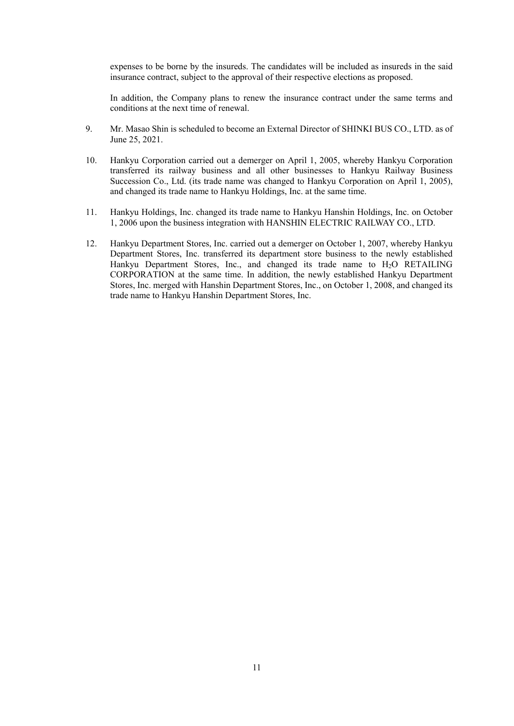expenses to be borne by the insureds. The candidates will be included as insureds in the said insurance contract, subject to the approval of their respective elections as proposed.

In addition, the Company plans to renew the insurance contract under the same terms and conditions at the next time of renewal.

- 9. Mr. Masao Shin is scheduled to become an External Director of SHINKI BUS CO., LTD. as of June 25, 2021.
- 10. Hankyu Corporation carried out a demerger on April 1, 2005, whereby Hankyu Corporation transferred its railway business and all other businesses to Hankyu Railway Business Succession Co., Ltd. (its trade name was changed to Hankyu Corporation on April 1, 2005), and changed its trade name to Hankyu Holdings, Inc. at the same time.
- 11. Hankyu Holdings, Inc. changed its trade name to Hankyu Hanshin Holdings, Inc. on October 1, 2006 upon the business integration with HANSHIN ELECTRIC RAILWAY CO., LTD.
- 12. Hankyu Department Stores, Inc. carried out a demerger on October 1, 2007, whereby Hankyu Department Stores, Inc. transferred its department store business to the newly established Hankyu Department Stores, Inc., and changed its trade name to H<sub>2</sub>O RETAILING CORPORATION at the same time. In addition, the newly established Hankyu Department Stores, Inc. merged with Hanshin Department Stores, Inc., on October 1, 2008, and changed its trade name to Hankyu Hanshin Department Stores, Inc.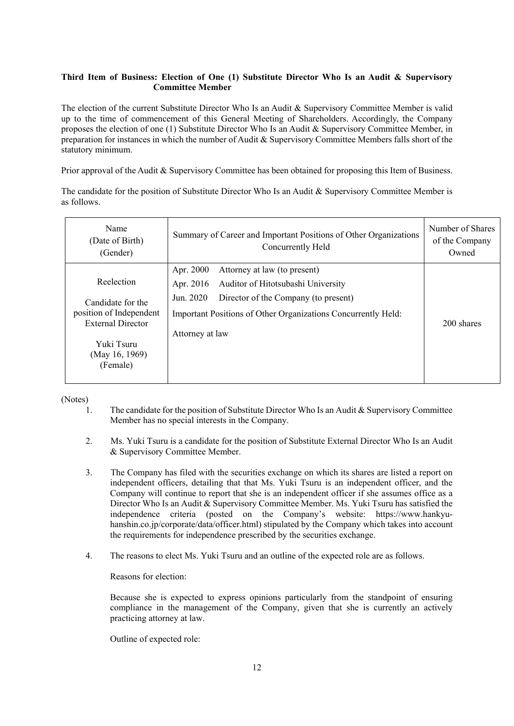## **Third Item of Business: Election of One (1) Substitute Director Who Is an Audit & Supervisory Committee Member**

The election of the current Substitute Director Who Is an Audit & Supervisory Committee Member is valid up to the time of commencement of this General Meeting of Shareholders. Accordingly, the Company proposes the election of one (1) Substitute Director Who Is an Audit & Supervisory Committee Member, in preparation for instances in which the number of Audit & Supervisory Committee Members falls short of the statutory minimum.

Prior approval of the Audit & Supervisory Committee has been obtained for proposing this Item of Business.

The candidate for the position of Substitute Director Who Is an Audit & Supervisory Committee Member is as follows.

| Name<br>(Date of Birth)<br>(Gender)                 | Summary of Career and Important Positions of Other Organizations<br>Concurrently Held | Number of Shares<br>of the Company<br>Owned |
|-----------------------------------------------------|---------------------------------------------------------------------------------------|---------------------------------------------|
|                                                     | Attorney at law (to present)<br>Apr. 2000                                             |                                             |
| Reelection                                          | Auditor of Hitotsubashi University<br>Apr. 2016                                       |                                             |
| Candidate for the                                   | Director of the Company (to present)<br>Jun. 2020                                     |                                             |
| position of Independent<br><b>External Director</b> | Important Positions of Other Organizations Concurrently Held:                         | 200 shares                                  |
|                                                     | Attorney at law                                                                       |                                             |
| Yuki Tsuru                                          |                                                                                       |                                             |
| (May 16, 1969)                                      |                                                                                       |                                             |
| (Female)                                            |                                                                                       |                                             |
|                                                     |                                                                                       |                                             |

### (Notes)

- 1. The candidate for the position of Substitute Director Who Is an Audit & Supervisory Committee Member has no special interests in the Company.
- 2. Ms. Yuki Tsuru is a candidate for the position of Substitute External Director Who Is an Audit & Supervisory Committee Member.
- 3. The Company has filed with the securities exchange on which its shares are listed a report on independent officers, detailing that that Ms. Yuki Tsuru is an independent officer, and the Company will continue to report that she is an independent officer if she assumes office as a Director Who Is an Audit & Supervisory Committee Member. Ms. Yuki Tsuru has satisfied the independence criteria (posted on the Company's website: https://www.hankyuhanshin.co.jp/corporate/data/officer.html) stipulated by the Company which takes into account the requirements for independence prescribed by the securities exchange.
- 4. The reasons to elect Ms. Yuki Tsuru and an outline of the expected role are as follows.

Reasons for election:

Because she is expected to express opinions particularly from the standpoint of ensuring compliance in the management of the Company, given that she is currently an actively practicing attorney at law.

Outline of expected role: